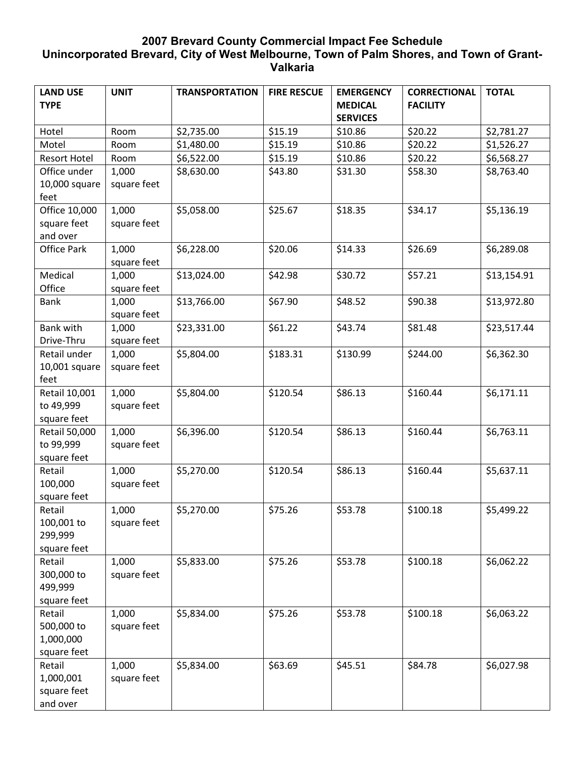## **2007 Brevard County Commercial Impact Fee Schedule Unincorporated Brevard, City of West Melbourne, Town of Palm Shores, and Town of Grant-Valkaria**

| \$2,781.27<br>\$1,526.27                                                                                                     |
|------------------------------------------------------------------------------------------------------------------------------|
|                                                                                                                              |
|                                                                                                                              |
|                                                                                                                              |
| \$6,568.27                                                                                                                   |
| \$8,763.40                                                                                                                   |
|                                                                                                                              |
|                                                                                                                              |
|                                                                                                                              |
|                                                                                                                              |
|                                                                                                                              |
|                                                                                                                              |
|                                                                                                                              |
| \$13,154.91                                                                                                                  |
|                                                                                                                              |
|                                                                                                                              |
|                                                                                                                              |
|                                                                                                                              |
|                                                                                                                              |
|                                                                                                                              |
|                                                                                                                              |
|                                                                                                                              |
|                                                                                                                              |
|                                                                                                                              |
| \$6,763.11                                                                                                                   |
|                                                                                                                              |
|                                                                                                                              |
| \$5,637.11                                                                                                                   |
|                                                                                                                              |
|                                                                                                                              |
| \$5,499.22                                                                                                                   |
|                                                                                                                              |
|                                                                                                                              |
|                                                                                                                              |
|                                                                                                                              |
|                                                                                                                              |
|                                                                                                                              |
|                                                                                                                              |
|                                                                                                                              |
|                                                                                                                              |
|                                                                                                                              |
|                                                                                                                              |
|                                                                                                                              |
|                                                                                                                              |
|                                                                                                                              |
| \$5,136.19<br>\$6,289.08<br>\$13,972.80<br>\$23,517.44<br>\$6,362.30<br>\$6,171.11<br>\$6,062.22<br>\$6,063.22<br>\$6,027.98 |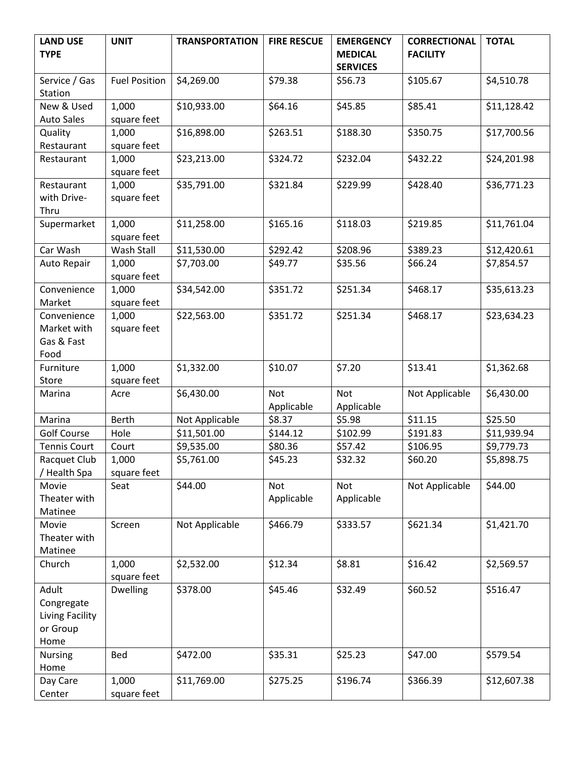| <b>LAND USE</b>     | <b>UNIT</b>          | <b>TRANSPORTATION</b> | <b>FIRE RESCUE</b> | <b>EMERGENCY</b> | <b>CORRECTIONAL</b> | <b>TOTAL</b> |
|---------------------|----------------------|-----------------------|--------------------|------------------|---------------------|--------------|
| <b>TYPE</b>         |                      |                       |                    | <b>MEDICAL</b>   | <b>FACILITY</b>     |              |
|                     |                      |                       |                    | <b>SERVICES</b>  |                     |              |
| Service / Gas       | <b>Fuel Position</b> | \$4,269.00            | \$79.38            | \$56.73          | \$105.67            | \$4,510.78   |
| Station             |                      |                       |                    |                  |                     |              |
| New & Used          | 1,000                | \$10,933.00           | \$64.16            | \$45.85          | \$85.41             | \$11,128.42  |
| <b>Auto Sales</b>   | square feet          |                       |                    |                  |                     |              |
| Quality             | 1,000                | \$16,898.00           | \$263.51           | \$188.30         | \$350.75            | \$17,700.56  |
| Restaurant          | square feet          |                       |                    |                  |                     |              |
| Restaurant          | 1,000                | \$23,213.00           | \$324.72           | \$232.04         | \$432.22            | \$24,201.98  |
|                     | square feet          |                       |                    |                  |                     |              |
| Restaurant          | 1,000                | \$35,791.00           | \$321.84           | \$229.99         | \$428.40            | \$36,771.23  |
| with Drive-         | square feet          |                       |                    |                  |                     |              |
| Thru                |                      |                       |                    |                  |                     |              |
| Supermarket         | 1,000                | \$11,258.00           | \$165.16           | \$118.03         | \$219.85            | \$11,761.04  |
|                     | square feet          |                       |                    |                  |                     |              |
| Car Wash            | Wash Stall           | \$11,530.00           | \$292.42           | \$208.96         | \$389.23            | \$12,420.61  |
| Auto Repair         | 1,000                | \$7,703.00            | \$49.77            | \$35.56          | \$66.24             | \$7,854.57   |
|                     | square feet          |                       |                    |                  |                     |              |
| Convenience         | 1,000                | \$34,542.00           | \$351.72           | \$251.34         | \$468.17            | \$35,613.23  |
| Market              | square feet          |                       |                    |                  |                     |              |
| Convenience         | 1,000                | \$22,563.00           | \$351.72           | \$251.34         | \$468.17            | \$23,634.23  |
| Market with         | square feet          |                       |                    |                  |                     |              |
| Gas & Fast          |                      |                       |                    |                  |                     |              |
| Food                |                      |                       |                    |                  |                     |              |
| Furniture           | 1,000                | \$1,332.00            | \$10.07            | \$7.20           | \$13.41             | \$1,362.68   |
| Store               | square feet          |                       |                    |                  |                     |              |
| Marina              | Acre                 | \$6,430.00            | <b>Not</b>         | Not              | Not Applicable      | \$6,430.00   |
|                     |                      |                       | Applicable         | Applicable       |                     |              |
| Marina              | <b>Berth</b>         | Not Applicable        | \$8.37             | \$5.98           | \$11.15             | \$25.50      |
| <b>Golf Course</b>  | Hole                 | \$11,501.00           | \$144.12           | \$102.99         | \$191.83            | \$11,939.94  |
| <b>Tennis Court</b> | Court                | \$9,535.00            | \$80.36            | \$57.42          | \$106.95            | \$9,779.73   |
| Racquet Club        | 1,000                | \$5,761.00            | \$45.23            | \$32.32          | \$60.20             | \$5,898.75   |
| / Health Spa        | square feet          |                       |                    |                  |                     |              |
| Movie               | Seat                 | \$44.00               | Not                | Not              | Not Applicable      | \$44.00      |
| Theater with        |                      |                       | Applicable         | Applicable       |                     |              |
| Matinee             |                      |                       |                    |                  |                     |              |
| Movie               | Screen               | Not Applicable        | \$466.79           | \$333.57         | \$621.34            | \$1,421.70   |
| Theater with        |                      |                       |                    |                  |                     |              |
| Matinee             |                      |                       |                    |                  |                     |              |
| Church              | 1,000                | \$2,532.00            | \$12.34            | \$8.81           | \$16.42             | \$2,569.57   |
|                     | square feet          |                       |                    |                  |                     |              |
| Adult               | <b>Dwelling</b>      | \$378.00              | \$45.46            | \$32.49          | \$60.52             | \$516.47     |
| Congregate          |                      |                       |                    |                  |                     |              |
| Living Facility     |                      |                       |                    |                  |                     |              |
| or Group            |                      |                       |                    |                  |                     |              |
| Home                |                      |                       |                    |                  |                     |              |
| <b>Nursing</b>      | Bed                  | \$472.00              | \$35.31            | \$25.23          | \$47.00             | \$579.54     |
| Home                |                      |                       |                    |                  |                     |              |
| Day Care            | 1,000                | \$11,769.00           | \$275.25           | \$196.74         | \$366.39            | \$12,607.38  |
| Center              | square feet          |                       |                    |                  |                     |              |